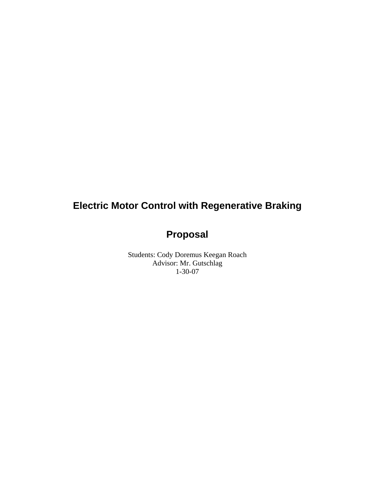# **Electric Motor Control with Regenerative Braking**

# **Proposal**

Students: Cody Doremus Keegan Roach Advisor: Mr. Gutschlag 1-30-07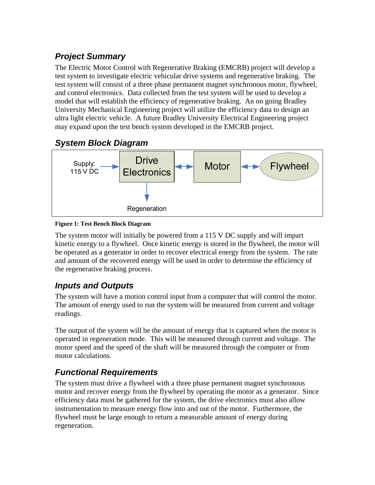# *Project Summary*

The Electric Motor Control with Regenerative Braking (EMCRB) project will develop a test system to investigate electric vehicular drive systems and regenerative braking. The test system will consist of a three phase permanent magnet synchronous motor, flywheel, and control electronics. Data collected from the test system will be used to develop a model that will establish the efficiency of regenerative braking. An on going Bradley University Mechanical Engineering project will utilize the efficiency data to design an ultra light electric vehicle. A future Bradley University Electrical Engineering project may expand upon the test bench system developed in the EMCRB project.

### *System Block Diagram*



#### **Figure 1: Test Bench Block Diagram**

The system motor will initially be powered from a 115 V DC supply and will impart kinetic energy to a flywheel. Once kinetic energy is stored in the flywheel, the motor will be operated as a generator in order to recover electrical energy from the system. The rate and amount of the recovered energy will be used in order to determine the efficiency of the regenerative braking process.

### *Inputs and Outputs*

The system will have a motion control input from a computer that will control the motor. The amount of energy used to run the system will be measured from current and voltage readings.

The output of the system will be the amount of energy that is captured when the motor is operated in regeneration mode. This will be measured through current and voltage. The motor speed and the speed of the shaft will be measured through the computer or from motor calculations.

# *Functional Requirements*

The system must drive a flywheel with a three phase permanent magnet synchronous motor and recover energy from the flywheel by operating the motor as a generator. Since efficiency data must be gathered for the system, the drive electronics must also allow instrumentation to measure energy flow into and out of the motor. Furthermore, the flywheel must be large enough to return a measurable amount of energy during regeneration.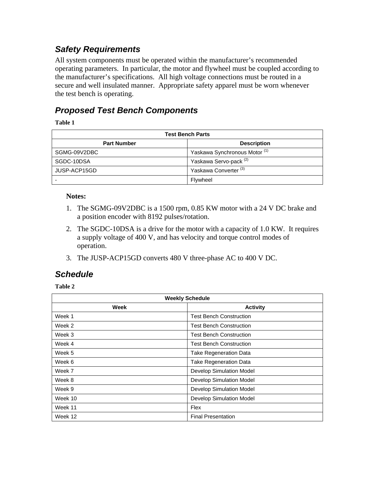#### *Safety Requirements*

All system components must be operated within the manufacturer's recommended operating parameters. In particular, the motor and flywheel must be coupled according to the manufacturer's specifications. All high voltage connections must be routed in a secure and well insulated manner. Appropriate safety apparel must be worn whenever the test bench is operating.

## *Proposed Test Bench Components*

**Table 1** 

<span id="page-2-0"></span>

| <b>Test Bench Parts</b> |                                          |
|-------------------------|------------------------------------------|
| <b>Part Number</b>      | <b>Description</b>                       |
| SGMG-09V2DBC            | Yaskawa Synchronous Motor <sup>(1)</sup> |
| SGDC-10DSA              | Yaskawa Servo-pack <sup>(2)</sup>        |
| JUSP-ACP15GD            | Yaskawa Converter <sup>(3)</sup>         |
|                         | Flywheel                                 |

#### **Notes:**

- 1. The SGMG-09V2DBC is a 1500 rpm, 0.85 KW motor with a 24 V DC brake and a position encoder with 8192 pulses/rotation.
- 2. The SGDC-10DSA is a drive for the motor with a capacity of 1.0 KW. It requires a supply voltage of 400 V, and has velocity and torque control modes of operation.
- 3. The JUSP-ACP15GD converts 480 V three-phase AC to 400 V DC.

#### *Schedule*

**Table 2** 

| <b>Weekly Schedule</b> |                                 |
|------------------------|---------------------------------|
| Week                   | <b>Activity</b>                 |
| Week 1                 | <b>Test Bench Construction</b>  |
| Week 2                 | <b>Test Bench Construction</b>  |
| Week 3                 | <b>Test Bench Construction</b>  |
| Week 4                 | <b>Test Bench Construction</b>  |
| Week 5                 | <b>Take Regeneration Data</b>   |
| Week 6                 | <b>Take Regeneration Data</b>   |
| Week 7                 | <b>Develop Simulation Model</b> |
| Week 8                 | Develop Simulation Model        |
| Week 9                 | Develop Simulation Model        |
| Week 10                | Develop Simulation Model        |
| Week 11                | Flex                            |
| Week 12                | <b>Final Presentation</b>       |